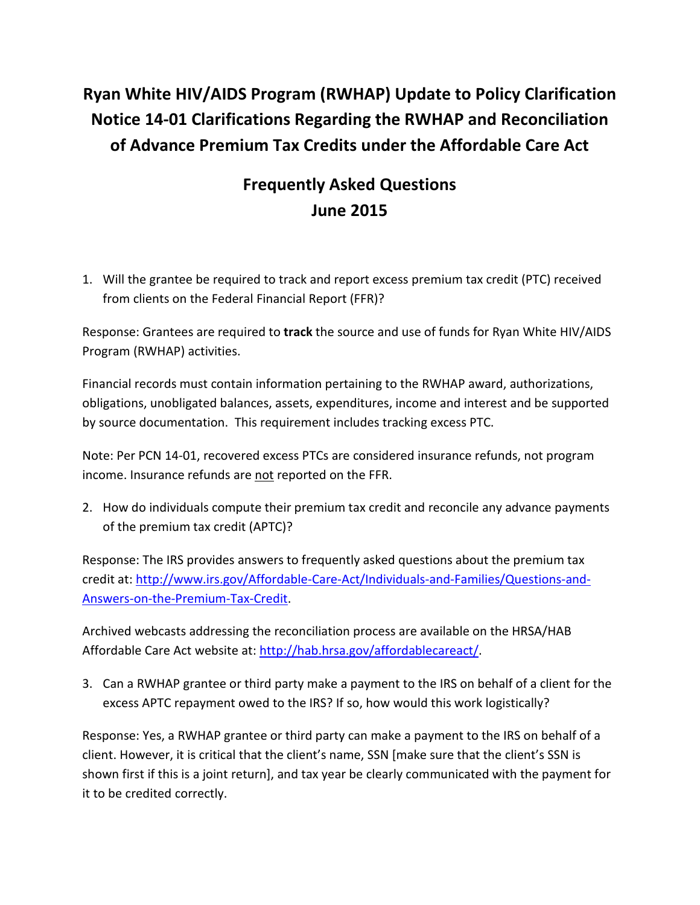## **Ryan White HIV/AIDS Program (RWHAP) Update to Policy Clarification Notice 14-01 Clarifications Regarding the RWHAP and Reconciliation of Advance Premium Tax Credits under the Affordable Care Act**

## **Frequently Asked Questions June 2015**

1. Will the grantee be required to track and report excess premium tax credit (PTC) received from clients on the Federal Financial Report (FFR)?

Response: Grantees are required to **track** the source and use of funds for Ryan White HIV/AIDS Program (RWHAP) activities.

Financial records must contain information pertaining to the RWHAP award, authorizations, obligations, unobligated balances, assets, expenditures, income and interest and be supported by source documentation. This requirement includes tracking excess PTC.

Note: Per PCN 14-01, recovered excess PTCs are considered insurance refunds, not program income. Insurance refunds are not reported on the FFR.

2. How do individuals compute their premium tax credit and reconcile any advance payments of the premium tax credit (APTC)?

Response: The IRS provides answers to frequently asked questions about the premium tax credit at[: http://www.irs.gov/Affordable-Care-Act/Individuals-and-Families/Questions-and-](http://www.irs.gov/Affordable-Care-Act/Individuals-and-Families/Questions-and-Answers-on-the-Premium-Tax-Credit)[Answers-on-the-Premium-Tax-Credit.](http://www.irs.gov/Affordable-Care-Act/Individuals-and-Families/Questions-and-Answers-on-the-Premium-Tax-Credit)

Archived webcasts addressing the reconciliation process are available on the HRSA/HAB Affordable Care Act website at: [http://hab.hrsa.gov/affordablecareact/.](http://hab.hrsa.gov/affordablecareact/)

3. Can a RWHAP grantee or third party make a payment to the IRS on behalf of a client for the excess APTC repayment owed to the IRS? If so, how would this work logistically?

Response: Yes, a RWHAP grantee or third party can make a payment to the IRS on behalf of a client. However, it is critical that the client's name, SSN [make sure that the client's SSN is shown first if this is a joint return], and tax year be clearly communicated with the payment for it to be credited correctly.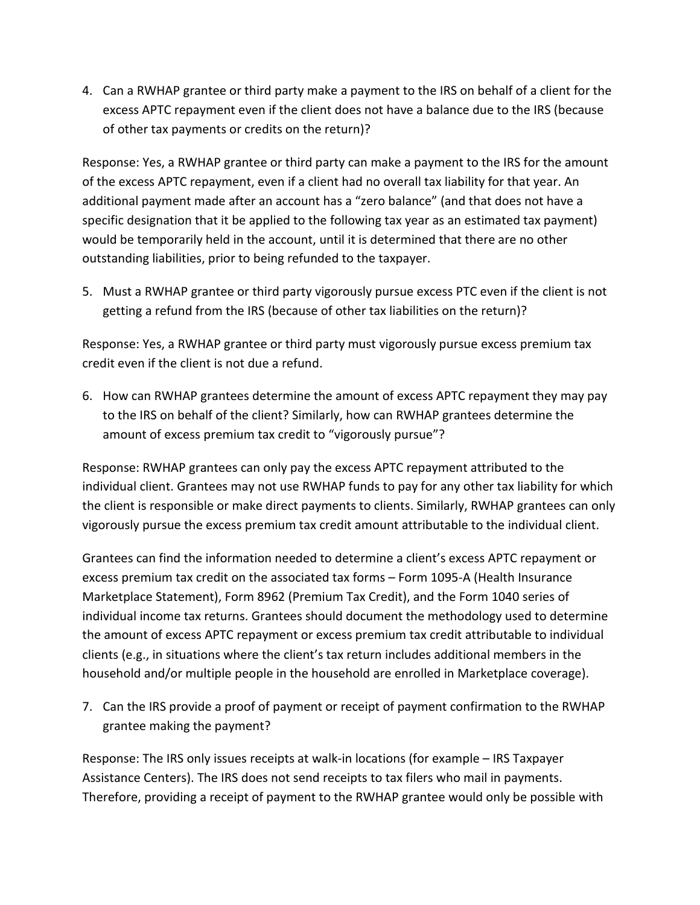4. Can a RWHAP grantee or third party make a payment to the IRS on behalf of a client for the excess APTC repayment even if the client does not have a balance due to the IRS (because of other tax payments or credits on the return)?

Response: Yes, a RWHAP grantee or third party can make a payment to the IRS for the amount of the excess APTC repayment, even if a client had no overall tax liability for that year. An additional payment made after an account has a "zero balance" (and that does not have a specific designation that it be applied to the following tax year as an estimated tax payment) would be temporarily held in the account, until it is determined that there are no other outstanding liabilities, prior to being refunded to the taxpayer.

5. Must a RWHAP grantee or third party vigorously pursue excess PTC even if the client is not getting a refund from the IRS (because of other tax liabilities on the return)?

Response: Yes, a RWHAP grantee or third party must vigorously pursue excess premium tax credit even if the client is not due a refund.

6. How can RWHAP grantees determine the amount of excess APTC repayment they may pay to the IRS on behalf of the client? Similarly, how can RWHAP grantees determine the amount of excess premium tax credit to "vigorously pursue"?

Response: RWHAP grantees can only pay the excess APTC repayment attributed to the individual client. Grantees may not use RWHAP funds to pay for any other tax liability for which the client is responsible or make direct payments to clients. Similarly, RWHAP grantees can only vigorously pursue the excess premium tax credit amount attributable to the individual client.

Grantees can find the information needed to determine a client's excess APTC repayment or excess premium tax credit on the associated tax forms – Form 1095-A (Health Insurance Marketplace Statement), Form 8962 (Premium Tax Credit), and the Form 1040 series of individual income tax returns. Grantees should document the methodology used to determine the amount of excess APTC repayment or excess premium tax credit attributable to individual clients (e.g., in situations where the client's tax return includes additional members in the household and/or multiple people in the household are enrolled in Marketplace coverage).

7. Can the IRS provide a proof of payment or receipt of payment confirmation to the RWHAP grantee making the payment?

Response: The IRS only issues receipts at walk-in locations (for example – IRS Taxpayer Assistance Centers). The IRS does not send receipts to tax filers who mail in payments. Therefore, providing a receipt of payment to the RWHAP grantee would only be possible with